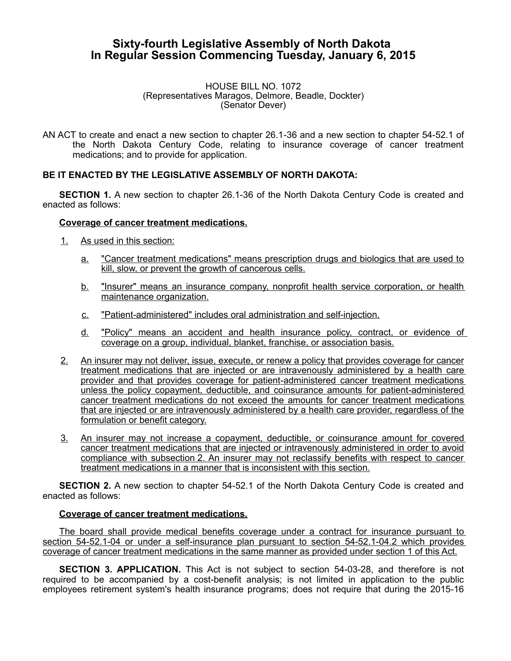# **Sixty-fourth Legislative Assembly of North Dakota In Regular Session Commencing Tuesday, January 6, 2015**

#### HOUSE BILL NO. 1072 (Representatives Maragos, Delmore, Beadle, Dockter) (Senator Dever)

AN ACT to create and enact a new section to chapter 26.1-36 and a new section to chapter 54-52.1 of the North Dakota Century Code, relating to insurance coverage of cancer treatment medications; and to provide for application.

## **BE IT ENACTED BY THE LEGISLATIVE ASSEMBLY OF NORTH DAKOTA:**

**SECTION 1.** A new section to chapter 26.1-36 of the North Dakota Century Code is created and enacted as follows:

#### **Coverage of cancer treatment medications.**

- 1. As used in this section:
	- a. "Cancer treatment medications" means prescription drugs and biologics that are used to kill, slow, or prevent the growth of cancerous cells.
	- b. "Insurer" means an insurance company, nonprofit health service corporation, or health maintenance organization.
	- c. "Patient-administered" includes oral administration and self-injection.
	- d. "Policy" means an accident and health insurance policy, contract, or evidence of coverage on a group, individual, blanket, franchise, or association basis.
- 2. An insurer may not deliver, issue, execute, or renew a policy that provides coverage for cancer treatment medications that are injected or are intravenously administered by a health care provider and that provides coverage for patient-administered cancer treatment medications unless the policy copayment, deductible, and coinsurance amounts for patient - administered cancer treatment medications do not exceed the amounts for cancer treatment medications that are injected or are intravenously administered by a health care provider, regardless of the formulation or benefit category.
- 3. An insurer may not increase a copayment, deductible, or coinsurance amount for covered cancer treatment medications that are injected or intravenously administered in order to avoid compliance with subsection 2. An insurer may not reclassify benefits with respect to cancer treatment medications in a manner that is inconsistent with this section.

**SECTION 2.** A new section to chapter 54-52.1 of the North Dakota Century Code is created and enacted as follows:

## **Coverage of cancer treatment medications.**

The board shall provide medical benefits coverage under a contract for insurance pursuant to section 54-52.1-04 or under a self-insurance plan pursuant to section 54-52.1-04.2 which provides coverage of cancer treatment medications in the same manner as provided under section 1 of this Act.

**SECTION 3. APPLICATION.** This Act is not subject to section 54-03-28, and therefore is not required to be accompanied by a cost-benefit analysis; is not limited in application to the public employees retirement system's health insurance programs; does not require that during the 2015-16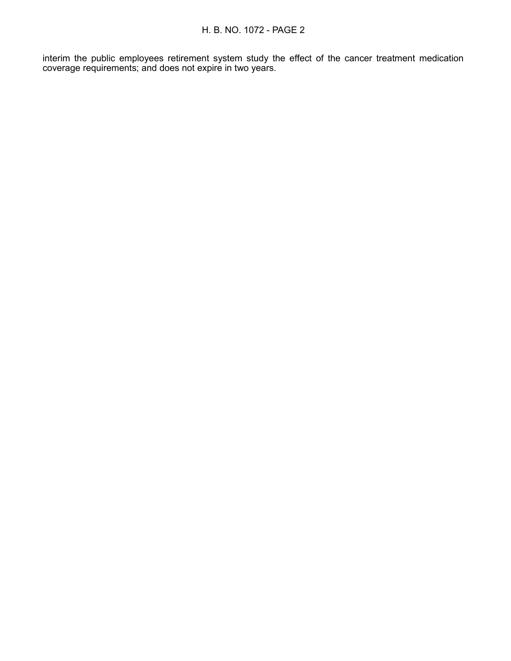interim the public employees retirement system study the effect of the cancer treatment medication coverage requirements; and does not expire in two years.